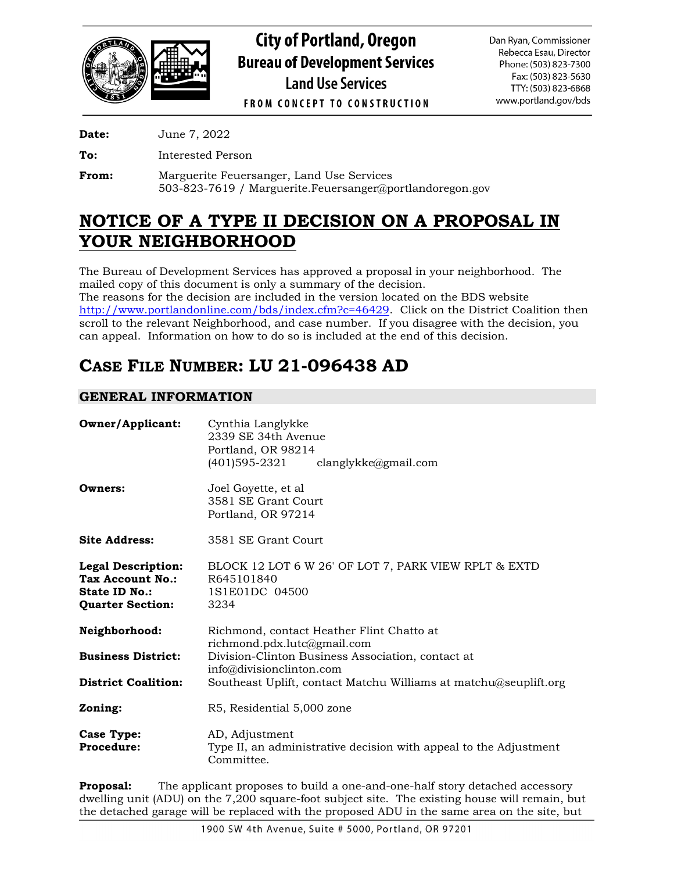

**City of Portland, Oregon Bureau of Development Services Land Use Services** 

Dan Ryan, Commissioner Rebecca Esau, Director Phone: (503) 823-7300 Fax: (503) 823-5630 TTY: (503) 823-6868 www.portland.gov/bds

**FROM CONCEPT TO CONSTRUCTION** 

**Date:** June 7, 2022

**To:** Interested Person

**From:** Marguerite Feuersanger, Land Use Services 503-823-7619 / Marguerite.Feuersanger@portlandoregon.gov

# **NOTICE OF A TYPE II DECISION ON A PROPOSAL IN YOUR NEIGHBORHOOD**

The Bureau of Development Services has approved a proposal in your neighborhood. The mailed copy of this document is only a summary of the decision. The reasons for the decision are included in the version located on the BDS website [http://www.portlandonline.com/bds/index.cfm?c=46429.](http://www.portlandonline.com/bds/index.cfm?c=46429) Click on the District Coalition then scroll to the relevant Neighborhood, and case number. If you disagree with the decision, you can appeal. Information on how to do so is included at the end of this decision.

# **CASE FILE NUMBER: LU 21-096438 AD**

## **GENERAL INFORMATION**

| <b>Owner/Applicant:</b>                                                                          | Cynthia Langlykke<br>2339 SE 34th Avenue<br>Portland, OR 98214<br>(401)595-2321<br>clanglykke@gmail.com |
|--------------------------------------------------------------------------------------------------|---------------------------------------------------------------------------------------------------------|
| Owners:                                                                                          | Joel Goyette, et al<br>3581 SE Grant Court<br>Portland, OR 97214                                        |
| <b>Site Address:</b>                                                                             | 3581 SE Grant Court                                                                                     |
| <b>Legal Description:</b><br><b>Tax Account No.:</b><br>State ID No.:<br><b>Quarter Section:</b> | BLOCK 12 LOT 6 W 26' OF LOT 7, PARK VIEW RPLT & EXTD<br>R645101840<br>1S1E01DC 04500<br>3234            |
| Neighborhood:                                                                                    | Richmond, contact Heather Flint Chatto at<br>richmond.pdx.lutc@gmail.com                                |
| <b>Business District:</b>                                                                        | Division-Clinton Business Association, contact at<br>info@divisionclinton.com                           |
| <b>District Coalition:</b>                                                                       | Southeast Uplift, contact Matchu Williams at matchu@seuplift.org                                        |
| Zoning:                                                                                          | R5, Residential 5,000 zone                                                                              |
| <b>Case Type:</b><br><b>Procedure:</b>                                                           | AD, Adjustment<br>Type II, an administrative decision with appeal to the Adjustment<br>Committee.       |

**Proposal:** The applicant proposes to build a one-and-one-half story detached accessory dwelling unit (ADU) on the 7,200 square-foot subject site. The existing house will remain, but the detached garage will be replaced with the proposed ADU in the same area on the site, but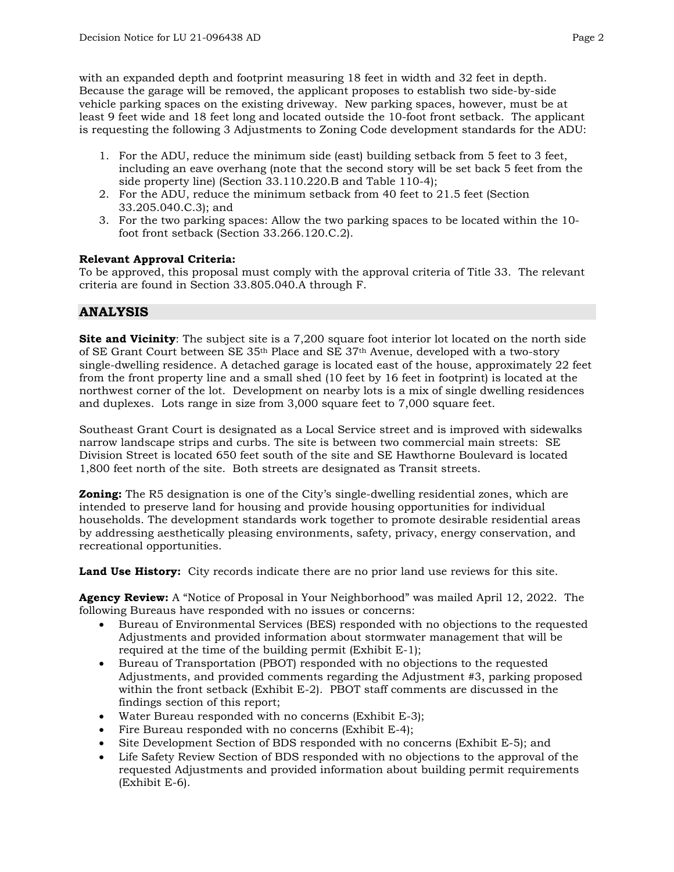with an expanded depth and footprint measuring 18 feet in width and 32 feet in depth. Because the garage will be removed, the applicant proposes to establish two side-by-side vehicle parking spaces on the existing driveway. New parking spaces, however, must be at least 9 feet wide and 18 feet long and located outside the 10-foot front setback. The applicant is requesting the following 3 Adjustments to Zoning Code development standards for the ADU:

- 1. For the ADU, reduce the minimum side (east) building setback from 5 feet to 3 feet, including an eave overhang (note that the second story will be set back 5 feet from the side property line) (Section 33.110.220.B and Table 110-4);
- 2. For the ADU, reduce the minimum setback from 40 feet to 21.5 feet (Section 33.205.040.C.3); and
- 3. For the two parking spaces: Allow the two parking spaces to be located within the 10 foot front setback (Section 33.266.120.C.2).

#### **Relevant Approval Criteria:**

To be approved, this proposal must comply with the approval criteria of Title 33. The relevant criteria are found in Section 33.805.040.A through F.

## **ANALYSIS**

**Site and Vicinity**: The subject site is a 7,200 square foot interior lot located on the north side of SE Grant Court between SE 35<sup>th</sup> Place and SE 37<sup>th</sup> Avenue, developed with a two-story single-dwelling residence. A detached garage is located east of the house, approximately 22 feet from the front property line and a small shed (10 feet by 16 feet in footprint) is located at the northwest corner of the lot. Development on nearby lots is a mix of single dwelling residences and duplexes. Lots range in size from 3,000 square feet to 7,000 square feet.

Southeast Grant Court is designated as a Local Service street and is improved with sidewalks narrow landscape strips and curbs. The site is between two commercial main streets: SE Division Street is located 650 feet south of the site and SE Hawthorne Boulevard is located 1,800 feet north of the site. Both streets are designated as Transit streets.

**Zoning:** The R5 designation is one of the City's single-dwelling residential zones, which are intended to preserve land for housing and provide housing opportunities for individual households. The development standards work together to promote desirable residential areas by addressing aesthetically pleasing environments, safety, privacy, energy conservation, and recreational opportunities.

**Land Use History:** City records indicate there are no prior land use reviews for this site.

**Agency Review:** A "Notice of Proposal in Your Neighborhood" was mailed April 12, 2022. The following Bureaus have responded with no issues or concerns:

- Bureau of Environmental Services (BES) responded with no objections to the requested Adjustments and provided information about stormwater management that will be required at the time of the building permit (Exhibit E-1);
- Bureau of Transportation (PBOT) responded with no objections to the requested Adjustments, and provided comments regarding the Adjustment #3, parking proposed within the front setback (Exhibit E-2). PBOT staff comments are discussed in the findings section of this report;
- Water Bureau responded with no concerns (Exhibit E-3);
- Fire Bureau responded with no concerns (Exhibit E-4);
- Site Development Section of BDS responded with no concerns (Exhibit E-5); and
- Life Safety Review Section of BDS responded with no objections to the approval of the requested Adjustments and provided information about building permit requirements (Exhibit E-6).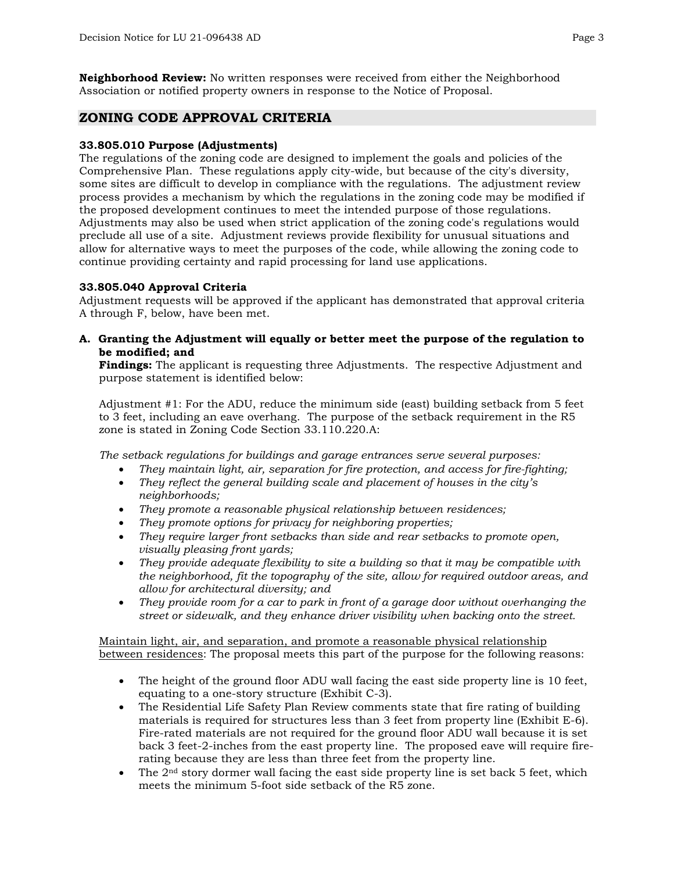**Neighborhood Review:** No written responses were received from either the Neighborhood Association or notified property owners in response to the Notice of Proposal.

## **ZONING CODE APPROVAL CRITERIA**

#### **33.805.010 Purpose (Adjustments)**

The regulations of the zoning code are designed to implement the goals and policies of the Comprehensive Plan. These regulations apply city-wide, but because of the city's diversity, some sites are difficult to develop in compliance with the regulations. The adjustment review process provides a mechanism by which the regulations in the zoning code may be modified if the proposed development continues to meet the intended purpose of those regulations. Adjustments may also be used when strict application of the zoning code's regulations would preclude all use of a site. Adjustment reviews provide flexibility for unusual situations and allow for alternative ways to meet the purposes of the code, while allowing the zoning code to continue providing certainty and rapid processing for land use applications.

#### **33.805.040 Approval Criteria**

Adjustment requests will be approved if the applicant has demonstrated that approval criteria A through F, below, have been met.

**A. Granting the Adjustment will equally or better meet the purpose of the regulation to be modified; and**

**Findings:** The applicant is requesting three Adjustments. The respective Adjustment and purpose statement is identified below:

Adjustment #1: For the ADU, reduce the minimum side (east) building setback from 5 feet to 3 feet, including an eave overhang. The purpose of the setback requirement in the R5 zone is stated in Zoning Code Section 33.110.220.A:

*The setback regulations for buildings and garage entrances serve several purposes:*

- *They maintain light, air, separation for fire protection, and access for fire-fighting;*
- *They reflect the general building scale and placement of houses in the city's neighborhoods;*
- *They promote a reasonable physical relationship between residences;*
- *They promote options for privacy for neighboring properties;*
- *They require larger front setbacks than side and rear setbacks to promote open, visually pleasing front yards;*
- *They provide adequate flexibility to site a building so that it may be compatible with the neighborhood, fit the topography of the site, allow for required outdoor areas, and allow for architectural diversity; and*
- *They provide room for a car to park in front of a garage door without overhanging the street or sidewalk, and they enhance driver visibility when backing onto the street.*

Maintain light, air, and separation, and promote a reasonable physical relationship between residences: The proposal meets this part of the purpose for the following reasons:

- The height of the ground floor ADU wall facing the east side property line is 10 feet, equating to a one-story structure (Exhibit C-3).
- The Residential Life Safety Plan Review comments state that fire rating of building materials is required for structures less than 3 feet from property line (Exhibit E-6). Fire-rated materials are not required for the ground floor ADU wall because it is set back 3 feet-2-inches from the east property line. The proposed eave will require firerating because they are less than three feet from the property line.
- The  $2<sup>nd</sup>$  story dormer wall facing the east side property line is set back 5 feet, which meets the minimum 5-foot side setback of the R5 zone.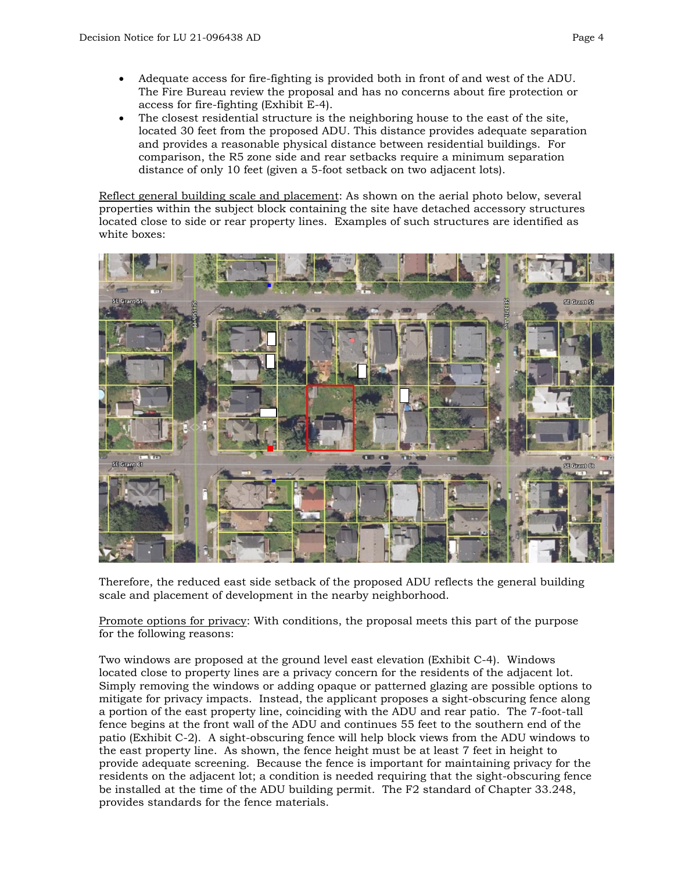- Adequate access for fire-fighting is provided both in front of and west of the ADU. The Fire Bureau review the proposal and has no concerns about fire protection or access for fire-fighting (Exhibit E-4).
- The closest residential structure is the neighboring house to the east of the site, located 30 feet from the proposed ADU. This distance provides adequate separation and provides a reasonable physical distance between residential buildings. For comparison, the R5 zone side and rear setbacks require a minimum separation distance of only 10 feet (given a 5-foot setback on two adjacent lots).

Reflect general building scale and placement: As shown on the aerial photo below, several properties within the subject block containing the site have detached accessory structures located close to side or rear property lines. Examples of such structures are identified as white boxes:



Therefore, the reduced east side setback of the proposed ADU reflects the general building scale and placement of development in the nearby neighborhood.

Promote options for privacy: With conditions, the proposal meets this part of the purpose for the following reasons:

Two windows are proposed at the ground level east elevation (Exhibit C-4). Windows located close to property lines are a privacy concern for the residents of the adjacent lot. Simply removing the windows or adding opaque or patterned glazing are possible options to mitigate for privacy impacts. Instead, the applicant proposes a sight-obscuring fence along a portion of the east property line, coinciding with the ADU and rear patio. The 7-foot-tall fence begins at the front wall of the ADU and continues 55 feet to the southern end of the patio (Exhibit C-2). A sight-obscuring fence will help block views from the ADU windows to the east property line. As shown, the fence height must be at least 7 feet in height to provide adequate screening. Because the fence is important for maintaining privacy for the residents on the adjacent lot; a condition is needed requiring that the sight-obscuring fence be installed at the time of the ADU building permit. The F2 standard of Chapter 33.248, provides standards for the fence materials.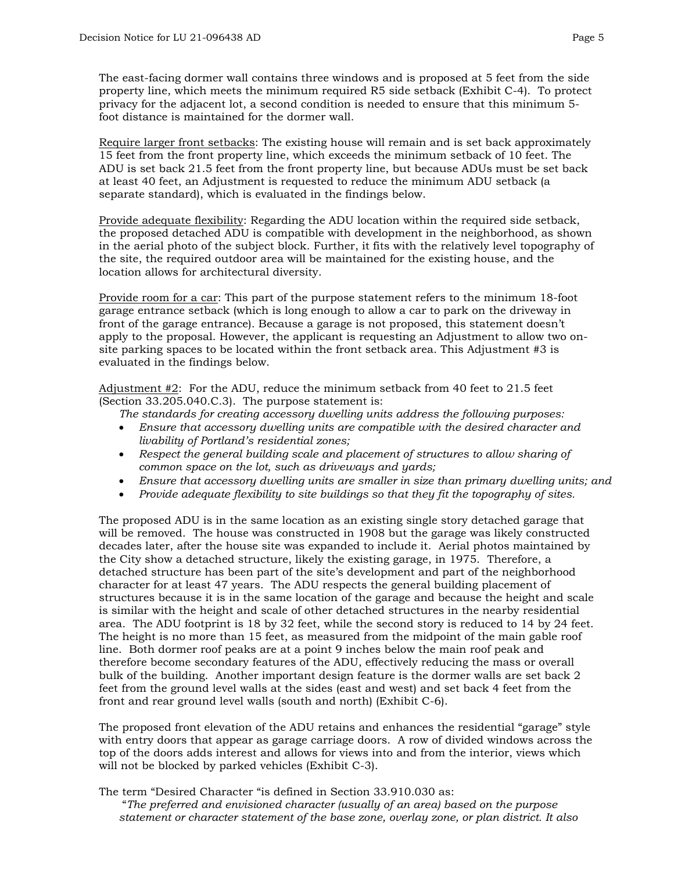The east-facing dormer wall contains three windows and is proposed at 5 feet from the side property line, which meets the minimum required R5 side setback (Exhibit C-4). To protect privacy for the adjacent lot, a second condition is needed to ensure that this minimum 5 foot distance is maintained for the dormer wall.

Require larger front setbacks: The existing house will remain and is set back approximately 15 feet from the front property line, which exceeds the minimum setback of 10 feet. The ADU is set back 21.5 feet from the front property line, but because ADUs must be set back at least 40 feet, an Adjustment is requested to reduce the minimum ADU setback (a separate standard), which is evaluated in the findings below.

Provide adequate flexibility: Regarding the ADU location within the required side setback, the proposed detached ADU is compatible with development in the neighborhood, as shown in the aerial photo of the subject block. Further, it fits with the relatively level topography of the site, the required outdoor area will be maintained for the existing house, and the location allows for architectural diversity.

Provide room for a car: This part of the purpose statement refers to the minimum 18-foot garage entrance setback (which is long enough to allow a car to park on the driveway in front of the garage entrance). Because a garage is not proposed, this statement doesn't apply to the proposal. However, the applicant is requesting an Adjustment to allow two onsite parking spaces to be located within the front setback area. This Adjustment #3 is evaluated in the findings below.

Adjustment #2: For the ADU, reduce the minimum setback from 40 feet to 21.5 feet (Section 33.205.040.C.3). The purpose statement is:

*The standards for creating accessory dwelling units address the following purposes:*

- *Ensure that accessory dwelling units are compatible with the desired character and livability of Portland's residential zones;*
- *Respect the general building scale and placement of structures to allow sharing of common space on the lot, such as driveways and yards;*
- *Ensure that accessory dwelling units are smaller in size than primary dwelling units; and*
- *Provide adequate flexibility to site buildings so that they fit the topography of sites.*

The proposed ADU is in the same location as an existing single story detached garage that will be removed. The house was constructed in 1908 but the garage was likely constructed decades later, after the house site was expanded to include it. Aerial photos maintained by the City show a detached structure, likely the existing garage, in 1975. Therefore, a detached structure has been part of the site's development and part of the neighborhood character for at least 47 years. The ADU respects the general building placement of structures because it is in the same location of the garage and because the height and scale is similar with the height and scale of other detached structures in the nearby residential area. The ADU footprint is 18 by 32 feet, while the second story is reduced to 14 by 24 feet. The height is no more than 15 feet, as measured from the midpoint of the main gable roof line. Both dormer roof peaks are at a point 9 inches below the main roof peak and therefore become secondary features of the ADU, effectively reducing the mass or overall bulk of the building. Another important design feature is the dormer walls are set back 2 feet from the ground level walls at the sides (east and west) and set back 4 feet from the front and rear ground level walls (south and north) (Exhibit C-6).

The proposed front elevation of the ADU retains and enhances the residential "garage" style with entry doors that appear as garage carriage doors. A row of divided windows across the top of the doors adds interest and allows for views into and from the interior, views which will not be blocked by parked vehicles (Exhibit C-3).

The term "Desired Character "is defined in Section 33.910.030 as:

 "*The preferred and envisioned character (usually of an area) based on the purpose statement or character statement of the base zone, overlay zone, or plan district. It also*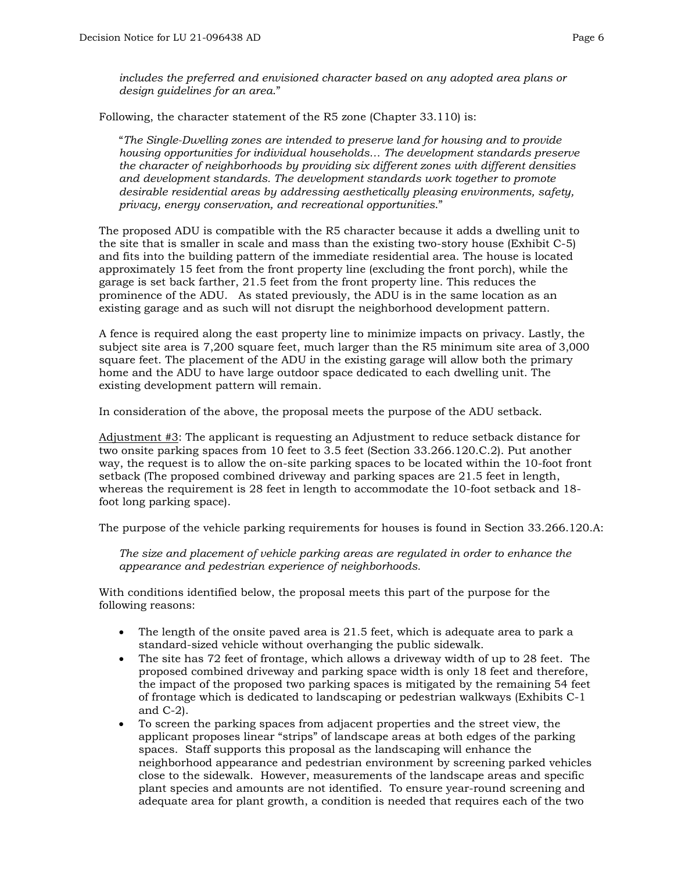*includes the preferred and envisioned character based on any adopted area plans or design guidelines for an area*."

Following, the character statement of the R5 zone (Chapter 33.110) is:

"*The Single-Dwelling zones are intended to preserve land for housing and to provide housing opportunities for individual households… The development standards preserve the character of neighborhoods by providing six different zones with different densities and development standards. The development standards work together to promote desirable residential areas by addressing aesthetically pleasing environments, safety, privacy, energy conservation, and recreational opportunities*."

The proposed ADU is compatible with the R5 character because it adds a dwelling unit to the site that is smaller in scale and mass than the existing two-story house (Exhibit C-5) and fits into the building pattern of the immediate residential area. The house is located approximately 15 feet from the front property line (excluding the front porch), while the garage is set back farther, 21.5 feet from the front property line. This reduces the prominence of the ADU. As stated previously, the ADU is in the same location as an existing garage and as such will not disrupt the neighborhood development pattern.

A fence is required along the east property line to minimize impacts on privacy. Lastly, the subject site area is 7,200 square feet, much larger than the R5 minimum site area of 3,000 square feet. The placement of the ADU in the existing garage will allow both the primary home and the ADU to have large outdoor space dedicated to each dwelling unit. The existing development pattern will remain.

In consideration of the above, the proposal meets the purpose of the ADU setback.

Adjustment #3: The applicant is requesting an Adjustment to reduce setback distance for two onsite parking spaces from 10 feet to 3.5 feet (Section 33.266.120.C.2). Put another way, the request is to allow the on-site parking spaces to be located within the 10-foot front setback (The proposed combined driveway and parking spaces are 21.5 feet in length, whereas the requirement is 28 feet in length to accommodate the 10-foot setback and 18 foot long parking space).

The purpose of the vehicle parking requirements for houses is found in Section 33.266.120.A:

*The size and placement of vehicle parking areas are regulated in order to enhance the appearance and pedestrian experience of neighborhoods.* 

With conditions identified below, the proposal meets this part of the purpose for the following reasons:

- The length of the onsite paved area is 21.5 feet, which is adequate area to park a standard-sized vehicle without overhanging the public sidewalk.
- The site has 72 feet of frontage, which allows a driveway width of up to 28 feet. The proposed combined driveway and parking space width is only 18 feet and therefore, the impact of the proposed two parking spaces is mitigated by the remaining 54 feet of frontage which is dedicated to landscaping or pedestrian walkways (Exhibits C-1 and C-2).
- To screen the parking spaces from adjacent properties and the street view, the applicant proposes linear "strips" of landscape areas at both edges of the parking spaces. Staff supports this proposal as the landscaping will enhance the neighborhood appearance and pedestrian environment by screening parked vehicles close to the sidewalk. However, measurements of the landscape areas and specific plant species and amounts are not identified. To ensure year-round screening and adequate area for plant growth, a condition is needed that requires each of the two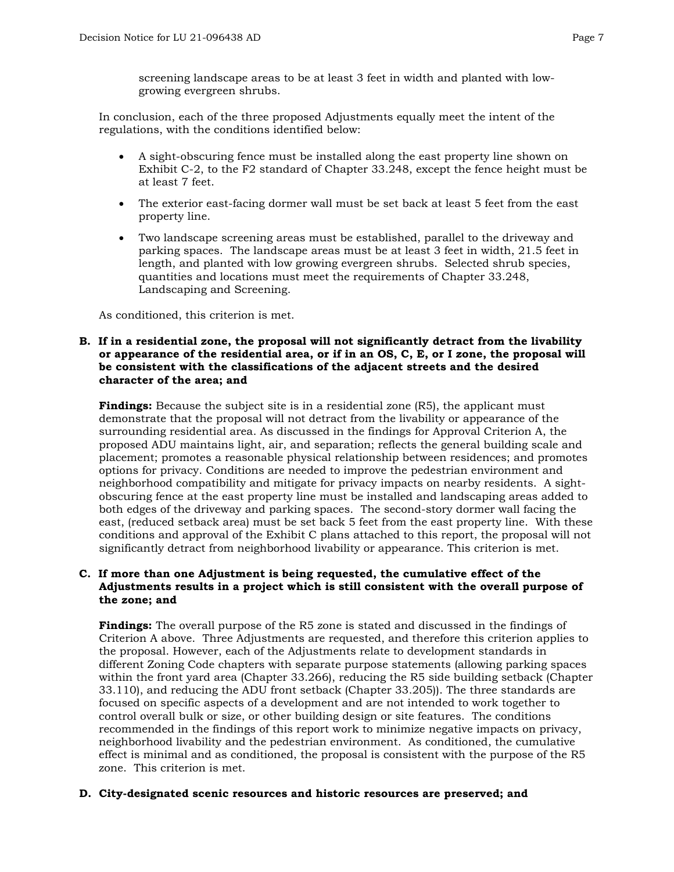screening landscape areas to be at least 3 feet in width and planted with lowgrowing evergreen shrubs.

In conclusion, each of the three proposed Adjustments equally meet the intent of the regulations, with the conditions identified below:

- A sight-obscuring fence must be installed along the east property line shown on Exhibit C-2, to the F2 standard of Chapter 33.248, except the fence height must be at least 7 feet.
- The exterior east-facing dormer wall must be set back at least 5 feet from the east property line.
- Two landscape screening areas must be established, parallel to the driveway and parking spaces. The landscape areas must be at least 3 feet in width, 21.5 feet in length, and planted with low growing evergreen shrubs. Selected shrub species, quantities and locations must meet the requirements of Chapter 33.248, Landscaping and Screening.

As conditioned, this criterion is met.

#### **B. If in a residential zone, the proposal will not significantly detract from the livability or appearance of the residential area, or if in an OS, C, E, or I zone, the proposal will be consistent with the classifications of the adjacent streets and the desired character of the area; and**

**Findings:** Because the subject site is in a residential zone (R5), the applicant must demonstrate that the proposal will not detract from the livability or appearance of the surrounding residential area. As discussed in the findings for Approval Criterion A, the proposed ADU maintains light, air, and separation; reflects the general building scale and placement; promotes a reasonable physical relationship between residences; and promotes options for privacy. Conditions are needed to improve the pedestrian environment and neighborhood compatibility and mitigate for privacy impacts on nearby residents. A sightobscuring fence at the east property line must be installed and landscaping areas added to both edges of the driveway and parking spaces. The second-story dormer wall facing the east, (reduced setback area) must be set back 5 feet from the east property line. With these conditions and approval of the Exhibit C plans attached to this report, the proposal will not significantly detract from neighborhood livability or appearance. This criterion is met.

## **C. If more than one Adjustment is being requested, the cumulative effect of the Adjustments results in a project which is still consistent with the overall purpose of the zone; and**

**Findings:** The overall purpose of the R5 zone is stated and discussed in the findings of Criterion A above. Three Adjustments are requested, and therefore this criterion applies to the proposal. However, each of the Adjustments relate to development standards in different Zoning Code chapters with separate purpose statements (allowing parking spaces within the front yard area (Chapter 33.266), reducing the R5 side building setback (Chapter 33.110), and reducing the ADU front setback (Chapter 33.205)). The three standards are focused on specific aspects of a development and are not intended to work together to control overall bulk or size, or other building design or site features. The conditions recommended in the findings of this report work to minimize negative impacts on privacy, neighborhood livability and the pedestrian environment. As conditioned, the cumulative effect is minimal and as conditioned, the proposal is consistent with the purpose of the R5 zone. This criterion is met.

## **D. City-designated scenic resources and historic resources are preserved; and**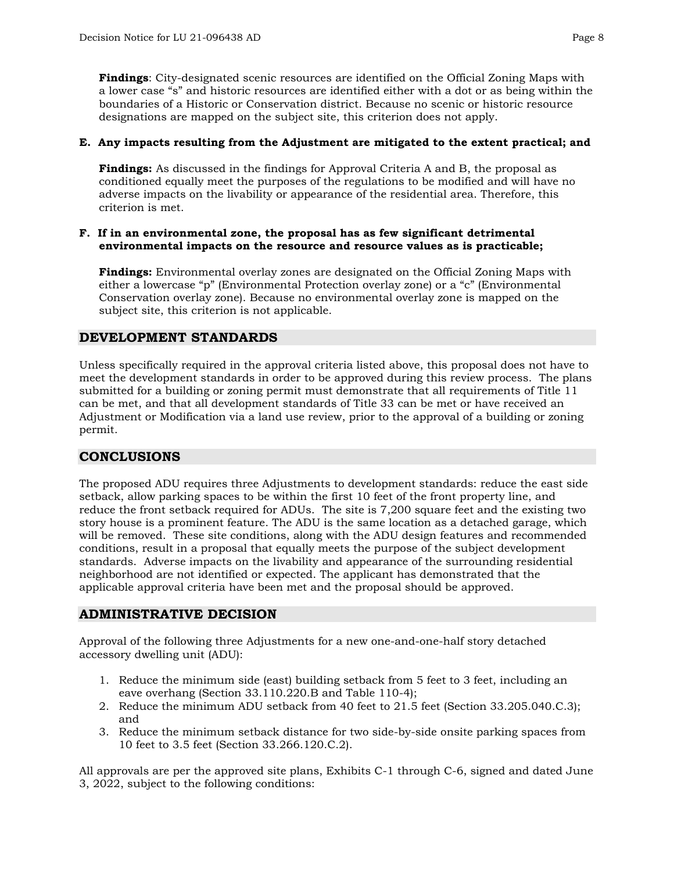**Findings**: City-designated scenic resources are identified on the Official Zoning Maps with a lower case "s" and historic resources are identified either with a dot or as being within the boundaries of a Historic or Conservation district. Because no scenic or historic resource designations are mapped on the subject site, this criterion does not apply.

## **E. Any impacts resulting from the Adjustment are mitigated to the extent practical; and**

**Findings:** As discussed in the findings for Approval Criteria A and B, the proposal as conditioned equally meet the purposes of the regulations to be modified and will have no adverse impacts on the livability or appearance of the residential area. Therefore, this criterion is met.

#### **F. If in an environmental zone, the proposal has as few significant detrimental environmental impacts on the resource and resource values as is practicable;**

**Findings:** Environmental overlay zones are designated on the Official Zoning Maps with either a lowercase "p" (Environmental Protection overlay zone) or a "c" (Environmental Conservation overlay zone). Because no environmental overlay zone is mapped on the subject site, this criterion is not applicable.

## **DEVELOPMENT STANDARDS**

Unless specifically required in the approval criteria listed above, this proposal does not have to meet the development standards in order to be approved during this review process. The plans submitted for a building or zoning permit must demonstrate that all requirements of Title 11 can be met, and that all development standards of Title 33 can be met or have received an Adjustment or Modification via a land use review, prior to the approval of a building or zoning permit.

## **CONCLUSIONS**

The proposed ADU requires three Adjustments to development standards: reduce the east side setback, allow parking spaces to be within the first 10 feet of the front property line, and reduce the front setback required for ADUs. The site is 7,200 square feet and the existing two story house is a prominent feature. The ADU is the same location as a detached garage, which will be removed. These site conditions, along with the ADU design features and recommended conditions, result in a proposal that equally meets the purpose of the subject development standards. Adverse impacts on the livability and appearance of the surrounding residential neighborhood are not identified or expected. The applicant has demonstrated that the applicable approval criteria have been met and the proposal should be approved.

## **ADMINISTRATIVE DECISION**

Approval of the following three Adjustments for a new one-and-one-half story detached accessory dwelling unit (ADU):

- 1. Reduce the minimum side (east) building setback from 5 feet to 3 feet, including an eave overhang (Section 33.110.220.B and Table 110-4);
- 2. Reduce the minimum ADU setback from 40 feet to 21.5 feet (Section 33.205.040.C.3); and
- 3. Reduce the minimum setback distance for two side-by-side onsite parking spaces from 10 feet to 3.5 feet (Section 33.266.120.C.2).

All approvals are per the approved site plans, Exhibits C-1 through C-6, signed and dated June 3, 2022, subject to the following conditions: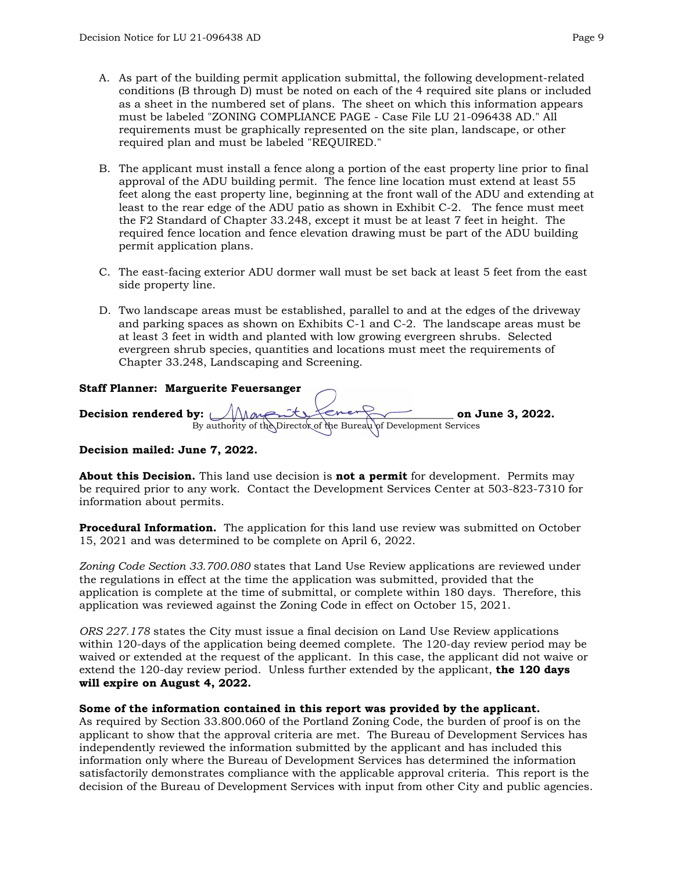- A. As part of the building permit application submittal, the following development-related conditions (B through D) must be noted on each of the 4 required site plans or included as a sheet in the numbered set of plans. The sheet on which this information appears must be labeled "ZONING COMPLIANCE PAGE - Case File LU 21-096438 AD." All requirements must be graphically represented on the site plan, landscape, or other required plan and must be labeled "REQUIRED."
- B. The applicant must install a fence along a portion of the east property line prior to final approval of the ADU building permit. The fence line location must extend at least 55 feet along the east property line, beginning at the front wall of the ADU and extending at least to the rear edge of the ADU patio as shown in Exhibit C-2. The fence must meet the F2 Standard of Chapter 33.248, except it must be at least 7 feet in height. The required fence location and fence elevation drawing must be part of the ADU building permit application plans.
- C. The east-facing exterior ADU dormer wall must be set back at least 5 feet from the east side property line.
- D. Two landscape areas must be established, parallel to and at the edges of the driveway and parking spaces as shown on Exhibits C-1 and C-2. The landscape areas must be at least 3 feet in width and planted with low growing evergreen shrubs. Selected evergreen shrub species, quantities and locations must meet the requirements of Chapter 33.248, Landscaping and Screening.

#### **Staff Planner: Marguerite Feuersanger**

Decision rendered by:  $\bigcup_{\text{Map}} \bigcup_{\text{sup}} \{$ 

By authority of the Director of the Bureau of Development Services

## **Decision mailed: June 7, 2022.**

**About this Decision.** This land use decision is **not a permit** for development. Permits may be required prior to any work. Contact the Development Services Center at 503-823-7310 for information about permits.

**Procedural Information.** The application for this land use review was submitted on October 15, 2021 and was determined to be complete on April 6, 2022.

*Zoning Code Section 33.700.080* states that Land Use Review applications are reviewed under the regulations in effect at the time the application was submitted, provided that the application is complete at the time of submittal, or complete within 180 days. Therefore, this application was reviewed against the Zoning Code in effect on October 15, 2021.

*ORS 227.178* states the City must issue a final decision on Land Use Review applications within 120-days of the application being deemed complete. The 120-day review period may be waived or extended at the request of the applicant. In this case, the applicant did not waive or extend the 120-day review period. Unless further extended by the applicant, **the 120 days will expire on August 4, 2022.**

#### **Some of the information contained in this report was provided by the applicant.**

As required by Section 33.800.060 of the Portland Zoning Code, the burden of proof is on the applicant to show that the approval criteria are met. The Bureau of Development Services has independently reviewed the information submitted by the applicant and has included this information only where the Bureau of Development Services has determined the information satisfactorily demonstrates compliance with the applicable approval criteria. This report is the decision of the Bureau of Development Services with input from other City and public agencies.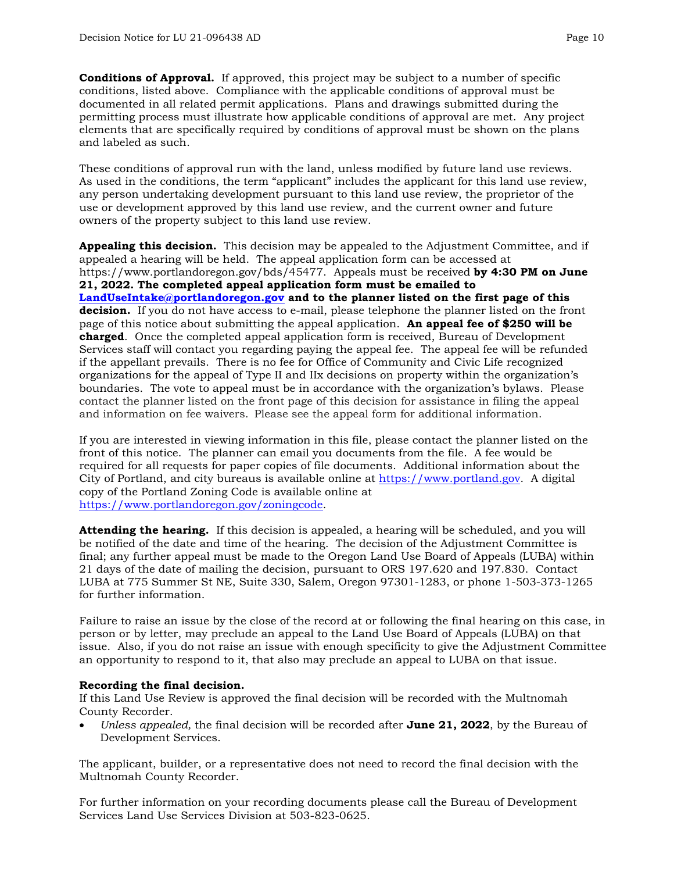**Conditions of Approval.** If approved, this project may be subject to a number of specific conditions, listed above. Compliance with the applicable conditions of approval must be documented in all related permit applications. Plans and drawings submitted during the permitting process must illustrate how applicable conditions of approval are met. Any project elements that are specifically required by conditions of approval must be shown on the plans and labeled as such.

These conditions of approval run with the land, unless modified by future land use reviews. As used in the conditions, the term "applicant" includes the applicant for this land use review, any person undertaking development pursuant to this land use review, the proprietor of the use or development approved by this land use review, and the current owner and future owners of the property subject to this land use review.

**Appealing this decision.** This decision may be appealed to the Adjustment Committee, and if appealed a hearing will be held. The appeal application form can be accessed at https://www.portlandoregon.gov/bds/45477. Appeals must be received **by 4:30 PM on June 21, 2022. The completed appeal application form must be emailed to [LandUseIntake@portlandoregon.gov](mailto:LandUseIntake@portlandoregon.gov) and to the planner listed on the first page of this decision.** If you do not have access to e-mail, please telephone the planner listed on the front page of this notice about submitting the appeal application. **An appeal fee of \$250 will be charged**. Once the completed appeal application form is received, Bureau of Development Services staff will contact you regarding paying the appeal fee. The appeal fee will be refunded if the appellant prevails. There is no fee for Office of Community and Civic Life recognized organizations for the appeal of Type II and IIx decisions on property within the organization's boundaries. The vote to appeal must be in accordance with the organization's bylaws. Please contact the planner listed on the front page of this decision for assistance in filing the appeal and information on fee waivers. Please see the appeal form for additional information.

If you are interested in viewing information in this file, please contact the planner listed on the front of this notice. The planner can email you documents from the file. A fee would be required for all requests for paper copies of file documents. Additional information about the City of Portland, and city bureaus is available online at [https://www.portland.gov.](https://www.portland.gov/) A digital copy of the Portland Zoning Code is available online at [https://www.portlandoregon.gov/zoningcode.](https://www.portlandoregon.gov/zoningcode)

**Attending the hearing.** If this decision is appealed, a hearing will be scheduled, and you will be notified of the date and time of the hearing. The decision of the Adjustment Committee is final; any further appeal must be made to the Oregon Land Use Board of Appeals (LUBA) within 21 days of the date of mailing the decision, pursuant to ORS 197.620 and 197.830. Contact LUBA at 775 Summer St NE, Suite 330, Salem, Oregon 97301-1283, or phone 1-503-373-1265 for further information.

Failure to raise an issue by the close of the record at or following the final hearing on this case, in person or by letter, may preclude an appeal to the Land Use Board of Appeals (LUBA) on that issue. Also, if you do not raise an issue with enough specificity to give the Adjustment Committee an opportunity to respond to it, that also may preclude an appeal to LUBA on that issue.

## **Recording the final decision.**

If this Land Use Review is approved the final decision will be recorded with the Multnomah County Recorder.

• *Unless appealed,* the final decision will be recorded after **June 21, 2022**, by the Bureau of Development Services.

The applicant, builder, or a representative does not need to record the final decision with the Multnomah County Recorder.

For further information on your recording documents please call the Bureau of Development Services Land Use Services Division at 503-823-0625.